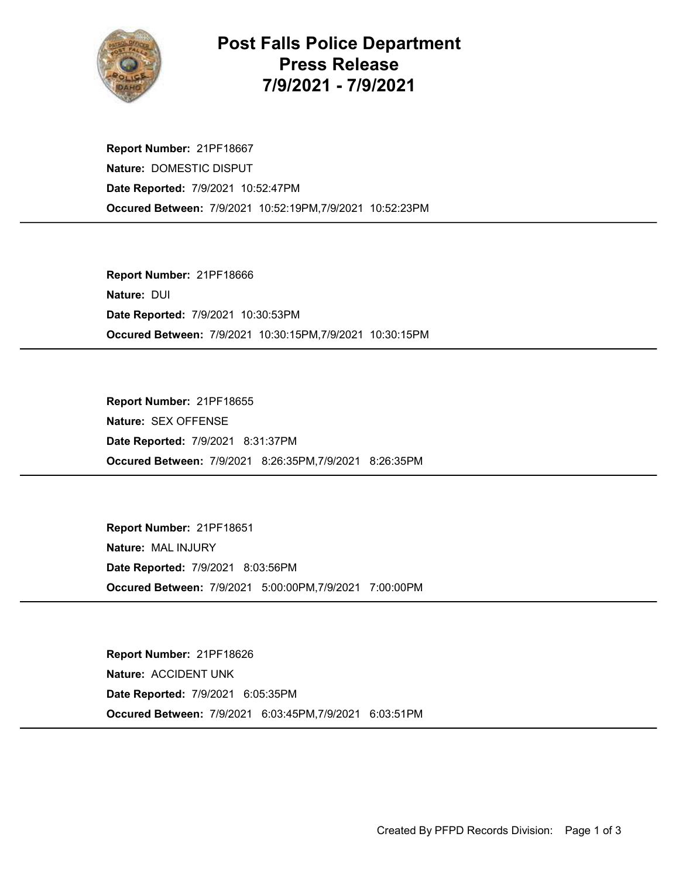

## Post Falls Police Department Press Release 7/9/2021 - 7/9/2021

Occured Between: 7/9/2021 10:52:19PM,7/9/2021 10:52:23PM Report Number: 21PF18667 Nature: DOMESTIC DISPUT Date Reported: 7/9/2021 10:52:47PM

Occured Between: 7/9/2021 10:30:15PM,7/9/2021 10:30:15PM Report Number: 21PF18666 Nature: DUI Date Reported: 7/9/2021 10:30:53PM

Occured Between: 7/9/2021 8:26:35PM,7/9/2021 8:26:35PM Report Number: 21PF18655 Nature: SEX OFFENSE Date Reported: 7/9/2021 8:31:37PM

Occured Between: 7/9/2021 5:00:00PM,7/9/2021 7:00:00PM Report Number: 21PF18651 Nature: MAL INJURY Date Reported: 7/9/2021 8:03:56PM

Occured Between: 7/9/2021 6:03:45PM,7/9/2021 6:03:51PM Report Number: 21PF18626 Nature: ACCIDENT UNK Date Reported: 7/9/2021 6:05:35PM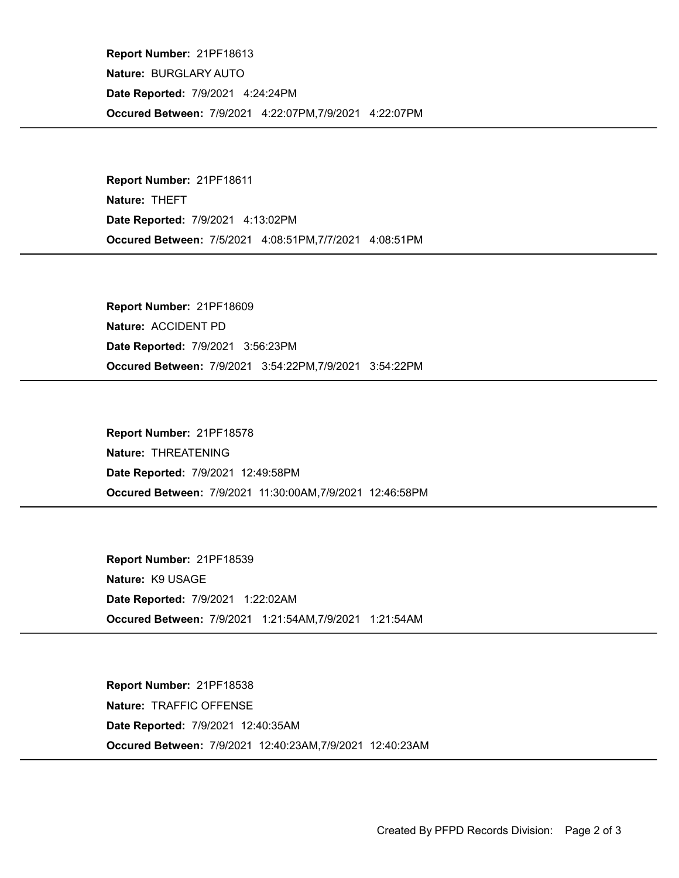Occured Between: 7/9/2021 4:22:07PM,7/9/2021 4:22:07PM Report Number: 21PF18613 Nature: BURGLARY AUTO Date Reported: 7/9/2021 4:24:24PM

Occured Between: 7/5/2021 4:08:51PM,7/7/2021 4:08:51PM Report Number: 21PF18611 Nature: THEFT Date Reported: 7/9/2021 4:13:02PM

Occured Between: 7/9/2021 3:54:22PM,7/9/2021 3:54:22PM Report Number: 21PF18609 Nature: ACCIDENT PD Date Reported: 7/9/2021 3:56:23PM

Occured Between: 7/9/2021 11:30:00AM,7/9/2021 12:46:58PM Report Number: 21PF18578 Nature: THREATENING Date Reported: 7/9/2021 12:49:58PM

Occured Between: 7/9/2021 1:21:54AM,7/9/2021 1:21:54AM Report Number: 21PF18539 Nature: K9 USAGE Date Reported: 7/9/2021 1:22:02AM

Occured Between: 7/9/2021 12:40:23AM,7/9/2021 12:40:23AM Report Number: 21PF18538 Nature: TRAFFIC OFFENSE Date Reported: 7/9/2021 12:40:35AM